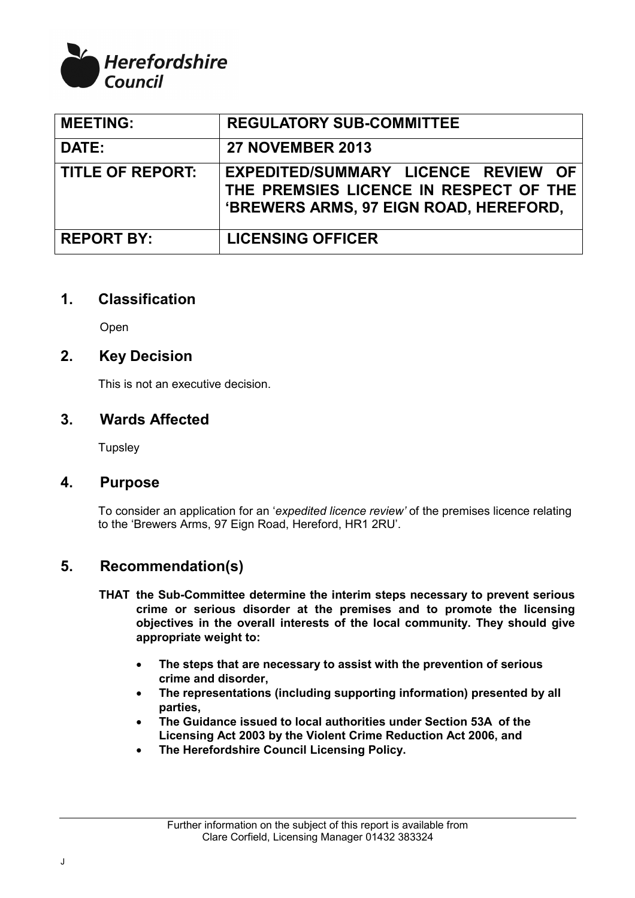

| <b>MEETING:</b>         | <b>REGULATORY SUB-COMMITTEE</b>                                                                                         |
|-------------------------|-------------------------------------------------------------------------------------------------------------------------|
| DATE:                   | <b>27 NOVEMBER 2013</b>                                                                                                 |
| <b>TITLE OF REPORT:</b> | EXPEDITED/SUMMARY LICENCE REVIEW OF<br>THE PREMSIES LICENCE IN RESPECT OF THE<br>'BREWERS ARMS, 97 EIGN ROAD, HEREFORD, |
| <b>REPORT BY:</b>       | <b>LICENSING OFFICER</b>                                                                                                |

### **1. Classification**

Open

# **2. Key Decision**

This is not an executive decision.

### **3. Wards Affected**

**Tupsley** 

### **4. Purpose**

To consider an application for an '*expedited licence review'* of the premises licence relating to the 'Brewers Arms, 97 Eign Road, Hereford, HR1 2RU'.

# **5. Recommendation(s)**

- **THAT the Sub-Committee determine the interim steps necessary to prevent serious crime or serious disorder at the premises and to promote the licensing objectives in the overall interests of the local community. They should give appropriate weight to:** 
	- **The steps that are necessary to assist with the prevention of serious crime and disorder,**
	- **The representations (including supporting information) presented by all parties,**
	- **The Guidance issued to local authorities under Section 53A of the Licensing Act 2003 by the Violent Crime Reduction Act 2006, and**
	- **The Herefordshire Council Licensing Policy.**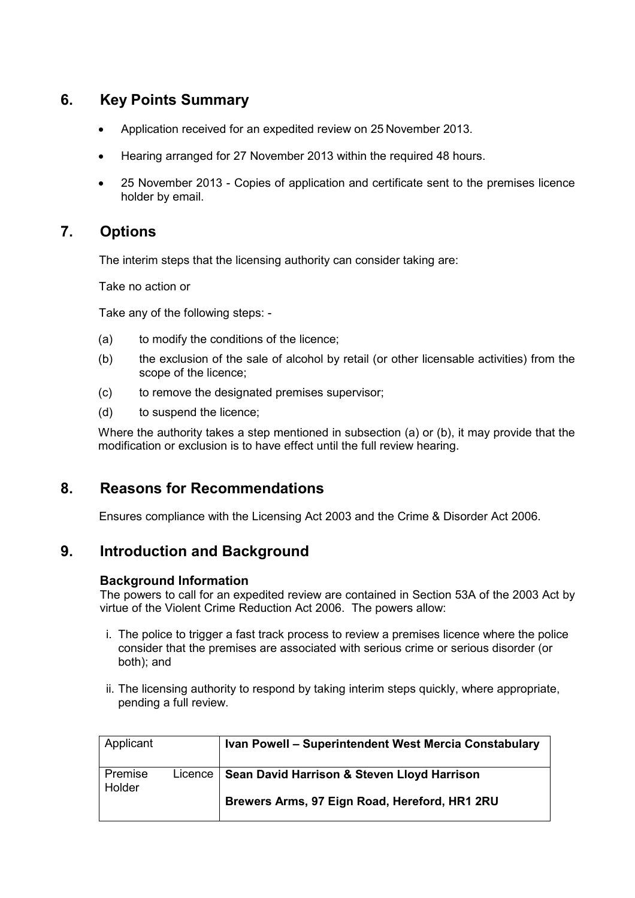# **6. Key Points Summary**

- Application received for an expedited review on 25 November 2013.
- Hearing arranged for 27 November 2013 within the required 48 hours.
- 25 November 2013 Copies of application and certificate sent to the premises licence holder by email.

# **7. Options**

The interim steps that the licensing authority can consider taking are:

Take no action or

Take any of the following steps: -

- (a) to modify the conditions of the licence;
- (b) the exclusion of the sale of alcohol by retail (or other licensable activities) from the scope of the licence;
- (c) to remove the designated premises supervisor;
- (d) to suspend the licence;

 Where the authority takes a step mentioned in subsection (a) or (b), it may provide that the modification or exclusion is to have effect until the full review hearing.

# **8. Reasons for Recommendations**

Ensures compliance with the Licensing Act 2003 and the Crime & Disorder Act 2006.

# **9. Introduction and Background**

#### **Background Information**

The powers to call for an expedited review are contained in Section 53A of the 2003 Act by virtue of the Violent Crime Reduction Act 2006. The powers allow:

- i. The police to trigger a fast track process to review a premises licence where the police consider that the premises are associated with serious crime or serious disorder (or both); and
- ii. The licensing authority to respond by taking interim steps quickly, where appropriate, pending a full review.

| Applicant         |         | Ivan Powell - Superintendent West Mercia Constabulary |
|-------------------|---------|-------------------------------------------------------|
| Premise<br>Holder | Licence | Sean David Harrison & Steven Lloyd Harrison           |
|                   |         | Brewers Arms, 97 Eign Road, Hereford, HR1 2RU         |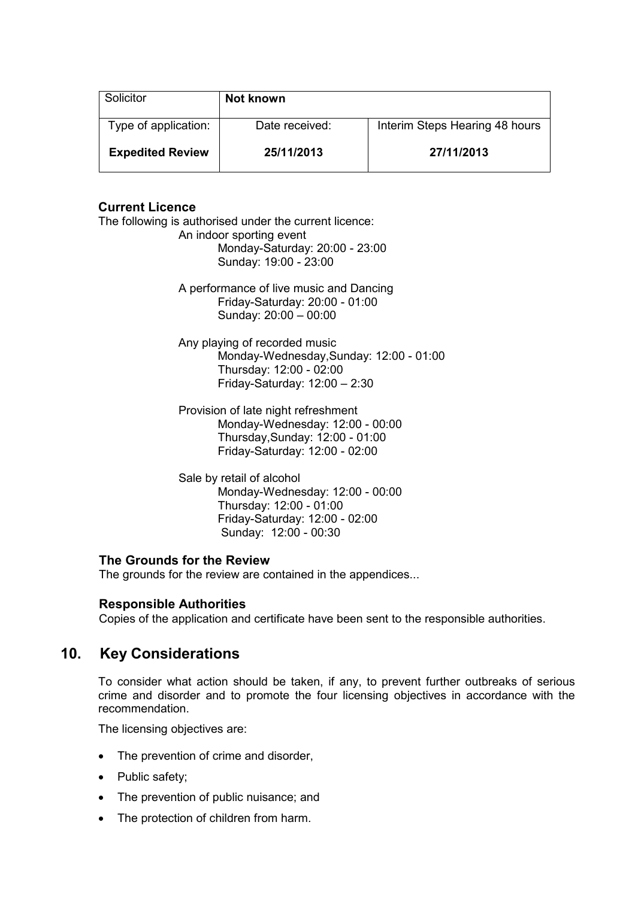| Solicitor               | Not known      |                                |
|-------------------------|----------------|--------------------------------|
| Type of application:    | Date received: | Interim Steps Hearing 48 hours |
| <b>Expedited Review</b> | 25/11/2013     | 27/11/2013                     |

#### **Current Licence**

The following is authorised under the current licence: An indoor sporting event Monday-Saturday: 20:00 - 23:00 Sunday: 19:00 - 23:00

> A performance of live music and Dancing Friday-Saturday: 20:00 - 01:00 Sunday: 20:00 – 00:00

Any playing of recorded music Monday-Wednesday,Sunday: 12:00 - 01:00 Thursday: 12:00 - 02:00 Friday-Saturday: 12:00 – 2:30

Provision of late night refreshment Monday-Wednesday: 12:00 - 00:00 Thursday,Sunday: 12:00 - 01:00 Friday-Saturday: 12:00 - 02:00

Sale by retail of alcohol Monday-Wednesday: 12:00 - 00:00 Thursday: 12:00 - 01:00 Friday-Saturday: 12:00 - 02:00 Sunday: 12:00 - 00:30

#### **The Grounds for the Review**

The grounds for the review are contained in the appendices...

#### **Responsible Authorities**

Copies of the application and certificate have been sent to the responsible authorities.

# **10. Key Considerations**

 To consider what action should be taken, if any, to prevent further outbreaks of serious crime and disorder and to promote the four licensing objectives in accordance with the recommendation.

The licensing objectives are:

- The prevention of crime and disorder,
- Public safety:
- The prevention of public nuisance; and
- The protection of children from harm.